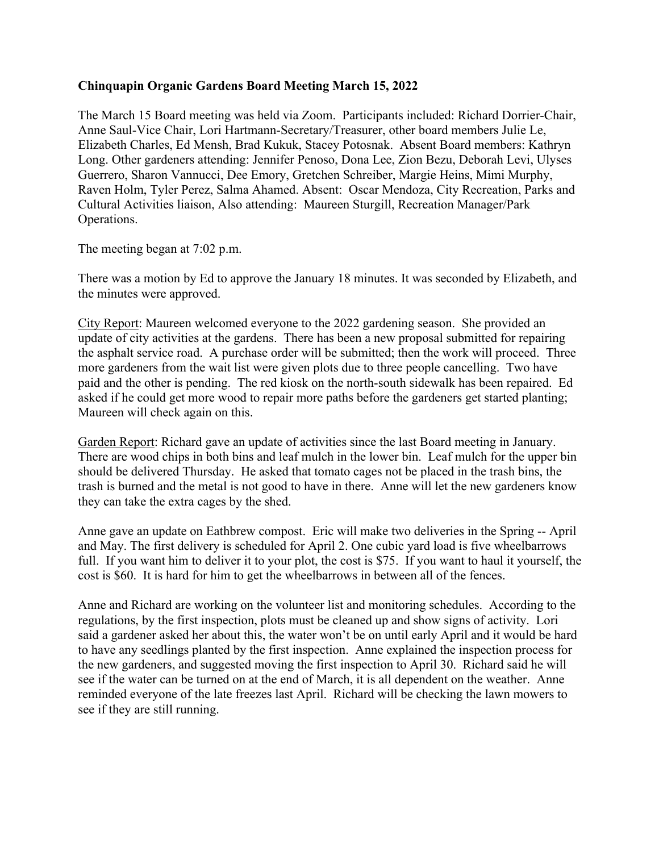## **Chinquapin Organic Gardens Board Meeting March 15, 2022**

The March 15 Board meeting was held via Zoom. Participants included: Richard Dorrier-Chair, Anne Saul-Vice Chair, Lori Hartmann-Secretary/Treasurer, other board members Julie Le, Elizabeth Charles, Ed Mensh, Brad Kukuk, Stacey Potosnak. Absent Board members: Kathryn Long. Other gardeners attending: Jennifer Penoso, Dona Lee, Zion Bezu, Deborah Levi, Ulyses Guerrero, Sharon Vannucci, Dee Emory, Gretchen Schreiber, Margie Heins, Mimi Murphy, Raven Holm, Tyler Perez, Salma Ahamed. Absent: Oscar Mendoza, City Recreation, Parks and Cultural Activities liaison, Also attending: Maureen Sturgill, Recreation Manager/Park Operations.

The meeting began at 7:02 p.m.

There was a motion by Ed to approve the January 18 minutes. It was seconded by Elizabeth, and the minutes were approved.

City Report: Maureen welcomed everyone to the 2022 gardening season. She provided an update of city activities at the gardens. There has been a new proposal submitted for repairing the asphalt service road. A purchase order will be submitted; then the work will proceed. Three more gardeners from the wait list were given plots due to three people cancelling. Two have paid and the other is pending. The red kiosk on the north-south sidewalk has been repaired. Ed asked if he could get more wood to repair more paths before the gardeners get started planting; Maureen will check again on this.

Garden Report: Richard gave an update of activities since the last Board meeting in January. There are wood chips in both bins and leaf mulch in the lower bin. Leaf mulch for the upper bin should be delivered Thursday. He asked that tomato cages not be placed in the trash bins, the trash is burned and the metal is not good to have in there. Anne will let the new gardeners know they can take the extra cages by the shed.

Anne gave an update on Eathbrew compost. Eric will make two deliveries in the Spring -- April and May. The first delivery is scheduled for April 2. One cubic yard load is five wheelbarrows full. If you want him to deliver it to your plot, the cost is \$75. If you want to haul it yourself, the cost is \$60. It is hard for him to get the wheelbarrows in between all of the fences.

Anne and Richard are working on the volunteer list and monitoring schedules. According to the regulations, by the first inspection, plots must be cleaned up and show signs of activity. Lori said a gardener asked her about this, the water won't be on until early April and it would be hard to have any seedlings planted by the first inspection. Anne explained the inspection process for the new gardeners, and suggested moving the first inspection to April 30. Richard said he will see if the water can be turned on at the end of March, it is all dependent on the weather. Anne reminded everyone of the late freezes last April. Richard will be checking the lawn mowers to see if they are still running.